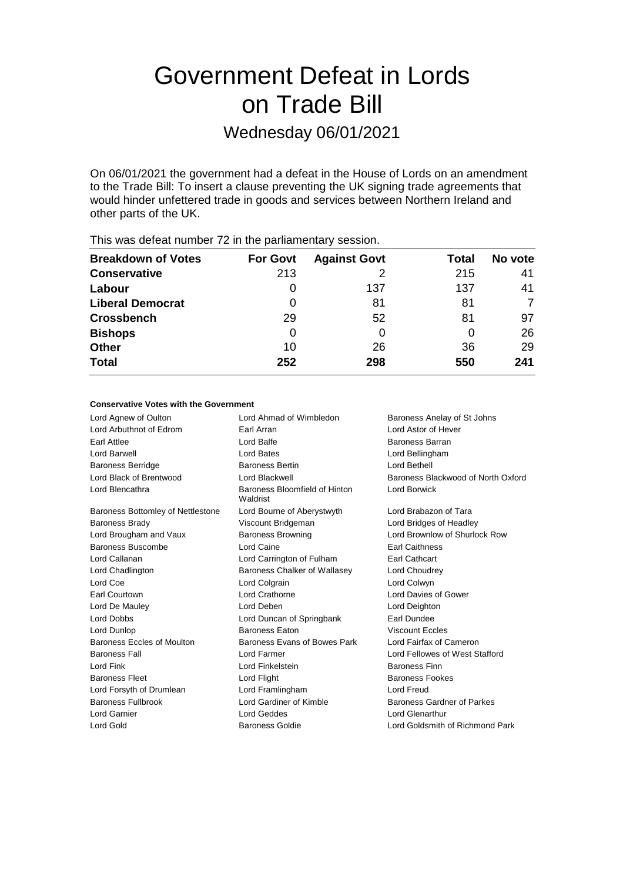# Government Defeat in Lords on Trade Bill

## Wednesday 06/01/2021

On 06/01/2021 the government had a defeat in the House of Lords on an amendment to the Trade Bill: To insert a clause preventing the UK signing trade agreements that would hinder unfettered trade in goods and services between Northern Ireland and other parts of the UK.

| <b>Breakdown of Votes</b> | <b>For Govt</b> | <b>Against Govt</b> | Total | No vote |
|---------------------------|-----------------|---------------------|-------|---------|
| <b>Conservative</b>       | 213             |                     | 215   | 41      |
| Labour                    | $\Omega$        | 137                 | 137   | 41      |
| <b>Liberal Democrat</b>   | $\Omega$        | 81                  | 81    |         |
| <b>Crossbench</b>         | 29              | 52                  | 81    | 97      |
| <b>Bishops</b>            | 0               |                     | 0     | 26      |
| <b>Other</b>              | 10              | 26                  | 36    | 29      |
| <b>Total</b>              | 252             | 298                 | 550   | 241     |
|                           |                 |                     |       |         |

### This was defeat number 72 in the parliamentary session.

#### **Conservative Votes with the Government**

| Lord Agnew of Oulton              | Lord Ahmad of Wimbledon                                          | Baroness Anelay of St Johns        |
|-----------------------------------|------------------------------------------------------------------|------------------------------------|
| Lord Arbuthnot of Edrom           | Earl Arran                                                       | Lord Astor of Hever                |
| Earl Attlee                       | Lord Balfe                                                       | <b>Baroness Barran</b>             |
| Lord Barwell                      | Lord Bates                                                       | Lord Bellingham                    |
| <b>Baroness Berridge</b>          | <b>Baroness Bertin</b>                                           | Lord Bethell                       |
| Lord Black of Brentwood           | Lord Blackwell                                                   | Baroness Blackwood of North Oxford |
| Lord Blencathra                   | Baroness Bloomfield of Hinton<br><b>Lord Borwick</b><br>Waldrist |                                    |
| Baroness Bottomley of Nettlestone | Lord Bourne of Aberystwyth                                       | Lord Brabazon of Tara              |
| <b>Baroness Brady</b>             | Viscount Bridgeman                                               | Lord Bridges of Headley            |
| Lord Brougham and Vaux            | <b>Baroness Browning</b>                                         | Lord Brownlow of Shurlock Row      |
| Baroness Buscombe                 | Lord Caine                                                       | <b>Earl Caithness</b>              |
| Lord Callanan                     | Lord Carrington of Fulham                                        | <b>Earl Cathcart</b>               |
| Lord Chadlington                  | Baroness Chalker of Wallasey                                     | Lord Choudrey                      |
| Lord Coe                          | Lord Colgrain                                                    | Lord Colwyn                        |
| Earl Courtown                     | Lord Crathorne                                                   | Lord Davies of Gower               |
| Lord De Mauley                    | Lord Deben                                                       | Lord Deighton                      |
| Lord Dobbs                        | Lord Duncan of Springbank                                        | Earl Dundee                        |
| Lord Dunlop                       | <b>Baroness Eaton</b>                                            | <b>Viscount Eccles</b>             |
| Baroness Eccles of Moulton        | Baroness Evans of Bowes Park                                     | Lord Fairfax of Cameron            |
| <b>Baroness Fall</b>              | Lord Farmer                                                      | Lord Fellowes of West Stafford     |
| Lord Fink                         | Lord Finkelstein                                                 | <b>Baroness Finn</b>               |
| <b>Baroness Fleet</b>             | Lord Flight                                                      | <b>Baroness Fookes</b>             |
| Lord Forsyth of Drumlean          | Lord Framlingham                                                 | Lord Freud                         |
| <b>Baroness Fullbrook</b>         | Lord Gardiner of Kimble                                          | Baroness Gardner of Parkes         |
| Lord Garnier                      | Lord Geddes                                                      | Lord Glenarthur                    |
| Lord Gold                         | Baroness Goldie                                                  | Lord Goldsmith of Richmond Park    |
|                                   |                                                                  |                                    |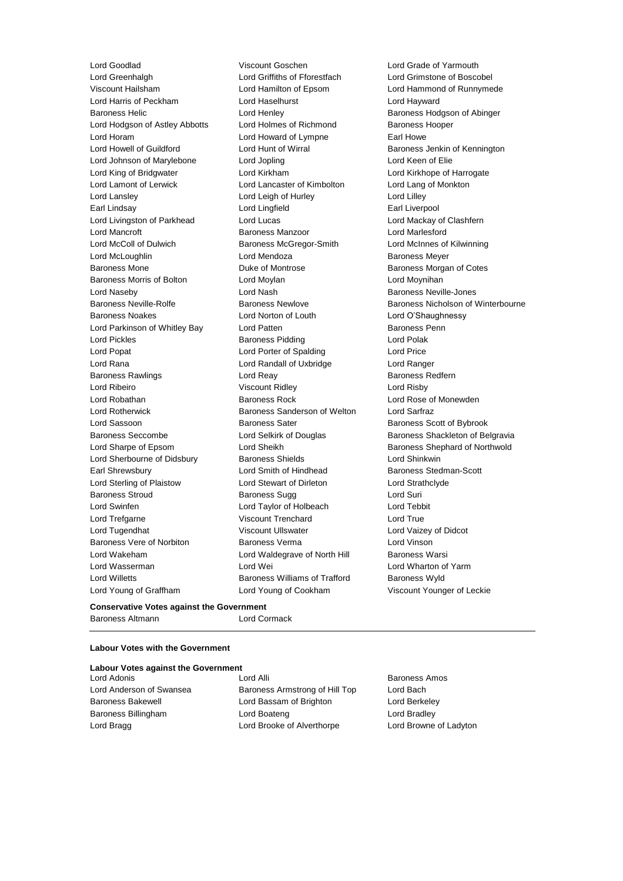Lord Goodlad Viscount Goschen Lord Grade of Yarmouth Lord Greenhalgh Lord Griffiths of Fforestfach Lord Grimstone of Boscobel Viscount Hailsham Lord Hamilton of Epsom Lord Hammond of Runnymede Lord Harris of Peckham Lord Haselhurst Lord Hayward Baroness Helic Lord Henley Baroness Hodgson of Abinger Lord Hodgson of Astley Abbotts Lord Holmes of Richmond Baroness Hooper Lord Horam **Lord Howard of Lympne** Earl Howe Lord Howell of Guildford **Lord Hunt of Wirral** Baroness Jenkin of Kennington Lord Johnson of Marylebone Lord Jopling Lord Keen of Elie Lord King of Bridgwater Lord Kirkham Lord Kirkhope of Harrogate Lord Lamont of Lerwick Lord Lancaster of Kimbolton Lord Lang of Monkton Lord Lansley **Lord Leigh of Hurley** Lord Lord Lilley Earl Lindsay Lord Lingfield Earl Liverpool Lord Livingston of Parkhead Lord Lucas Lord Mackay of Clashfern Lord Mancroft Baroness Manzoor Lord Marlesford Lord McColl of Dulwich Baroness McGregor-Smith Lord McInnes of Kilwinning Lord McLoughlin Lord Mendoza Baroness Meyer Baroness Mone **Duke of Montrose** Baroness Morgan of Cotes Baroness Morris of Bolton Lord Moylan Lord Moynihan Lord Naseby **Lord Nash Baroness Neville-Jones** Baroness Noakes Lord Norton of Louth Lord O'Shaughnessy Lord Parkinson of Whitley Bay **Lord Patten Communist Communist Parkinson** Baroness Penn Lord Pickles **Baroness Pidding Lord Polak** Lord Polak Lord Popat Lord Porter of Spalding Lord Price Lord Rana Lord Randall of Uxbridge Lord Ranger Baroness Rawlings **Baroness Redfern** Lord Reay **Baroness Redfern** Lord Ribeiro Viscount Ridley Lord Risby Lord Robathan **Baroness Rock** Lord Rose of Monewden Lord Rotherwick Baroness Sanderson of Welton Lord Sarfraz Lord Sassoon **Baroness Sater** Baroness Sater Baroness Scott of Bybrook Baroness Seccombe **Lord Selkirk of Douglas** Baroness Shackleton of Belgravia Lord Sharpe of Epsom Lord Sheikh Baroness Shephard of Northwold Lord Sherbourne of Didsbury **Baroness Shields Lord Shinkwin** Earl Shrewsbury **Lord Smith of Hindhead** Baroness Stedman-Scott Lord Sterling of Plaistow Lord Stewart of Dirleton Lord Strathclyde Baroness Stroud **Baroness Sugg Contains Containers** Lord Suri Lord Swinfen Lord Taylor of Holbeach Lord Tebbit Lord Trefgarne **Viscount Trenchard** Lord True Lord Tugendhat Viscount Ullswater Lord Vaizey of Didcot Baroness Vere of Norbiton Baroness Verma Lord Vinson Lord Wakeham **Lord Waldegrave of North Hill** Baroness Warsi Lord Wasserman **Lord Wei** Lord Wei **Lord Wharton of Yarm** Lord Willetts Baroness Williams of Trafford Baroness Wyld Lord Young of Graffham Lord Young of Cookham Viscount Younger of Leckie

Baroness Neville-Rolfe **Baroness Newlove** Baroness Newlove Baroness Nicholson of Winterbourne

#### **Conservative Votes against the Government** Baroness Altmann Lord Cormack

**Labour Votes with the Government**

|  |  |  |  | <b>Labour Votes against the Government</b> |
|--|--|--|--|--------------------------------------------|
|--|--|--|--|--------------------------------------------|

Lord Adonis Lord Alli Baroness Amos Lord Anderson of Swansea Baroness Armstrong of Hill Top Lord Bach Baroness Bakewell Lord Bassam of Brighton Lord Berkeley Baroness Billingham Lord Boateng Lord Bradley Lord Bragg **Lord Brooke of Alverthorpe** Lord Browne of Ladyton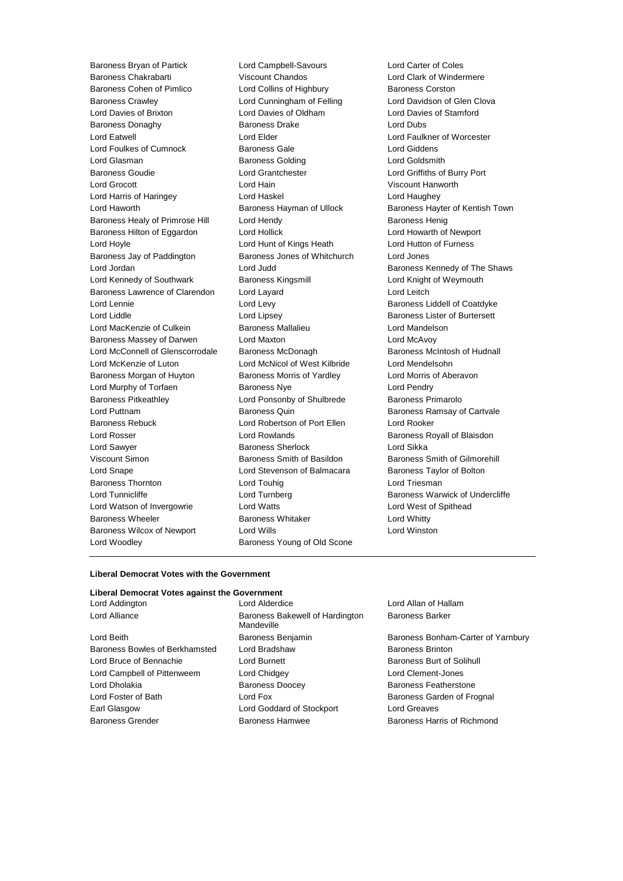Baroness Bryan of Partick Lord Campbell-Savours Lord Carter of Coles Baroness Cohen of Pimlico Lord Collins of Highbury Baroness Corston Baroness Crawley **Lord Cunningham of Felling** Lord Davidson of Glen Clova Lord Davies of Brixton Lord Davies of Oldham Lord Davies of Stamford Baroness Donaghy **Baroness Drake** Lord Dubs Lord Eatwell Lord Elder Lord Faulkner of Worcester Lord Foulkes of Cumnock Baroness Gale Lord Giddens Lord Glasman Baroness Golding Lord Goldsmith Baroness Goudie Lord Grantchester Lord Griffiths of Burry Port Lord Grocott Lord Hain Viscount Hanworth Lord Harris of Haringey Lord Haskel Lord Haughey Lord Haworth **Baroness Hayman of Ullock** Baroness Hayter of Kentish Town Baroness Healy of Primrose Hill Lord Hendy **Baroness Henig** Baroness Henig Baroness Hilton of Eggardon Lord Hollick Lord Howarth of Newport Lord Hoyle Lord Hunt of Kings Heath Lord Hutton of Furness Baroness Jay of Paddington Baroness Jones of Whitchurch Lord Jones Lord Jordan Lord Judd Baroness Kennedy of The Shaws Lord Kennedy of Southwark Baroness Kingsmill **Lord Knight of Weymouth** Baroness Lawrence of Clarendon Lord Layard **Lord Leitch** Lord Leitch Lord Lennie Lord Levy Baroness Liddell of Coatdyke Lord Liddle **Lord Lipsey** Lord Lipsey **Baroness Lister of Burtersett** Lord MacKenzie of Culkein **Baroness Mallalieu Lord Mandelson** Baroness Massey of Darwen Lord Maxton Lord McAvov Lord McConnell of Glenscorrodale Baroness McDonagh Baroness Mc Baroness McIntosh of Hudnall Lord McKenzie of Luton Lord McNicol of West Kilbride Lord Mendelsohn Baroness Morgan of Huyton **Baroness Morris of Yardley** Lord Morris of Aberavon Lord Murphy of Torfaen Baroness Nye Lord Pendry Baroness Pitkeathley Lord Ponsonby of Shulbrede Baroness Primarolo Lord Puttnam **Baroness Quin** Baroness Quin Baroness Ramsay of Cartvale Baroness Rebuck Lord Robertson of Port Ellen Lord Rooker Lord Rosser **Lord Rowlands Baroness Royall of Blaisdon** Lord Sawyer Baroness Sherlock Lord Sikka Viscount Simon **Baroness Smith of Basildon** Baroness Smith of Gilmorehill Lord Snape Lord Stevenson of Balmacara Baroness Taylor of Bolton Baroness Thornton **Lord Touhig** Lord Touhig Lord Triesman Lord Tunnicliffe **Lord Turnberg Lord Baroness Warwick of Undercliffe** Lord Watson of Invergowrie Lord Watts Lord West of Spithead Baroness Wheeler **Baroness Whitaker** Lord Whitty Baroness Wilcox of Newport Lord Wills Lord Winston Lord Woodley **Baroness Young of Old Scone** 

Viscount Chandos **Chandos** Lord Clark of Windermere

#### **Liberal Democrat Votes with the Government**

#### **Liberal Democrat Votes against the Government**

Lord Beith Baroness Benjamin Baroness Bonham-Carter of Yarnbury Baroness Bowles of Berkhamsted Lord Bradshaw Baroness Brinton Lord Bruce of Bennachie **Lord Burnett** Lord Burnett **Baroness Burt of Solihull** Lord Campbell of Pittenweem Lord Chidgey Lord Clement-Jones Lord Dholakia **Baroness Doocey** Baroness Poster Baroness Featherstone Lord Foster of Bath **Lord Fox** Lord Fox **Baroness Garden of Frognal** Earl Glasgow **Lord Goddard of Stockport** Lord Greaves Baroness Grender **Baroness Hamwee** Baroness Harris of Richmond

Lord Addington Lord Alderdice Lord Allan of Hallam Lord Alliance **Baroness Bakewell of Hardington** Mandeville

Baroness Barker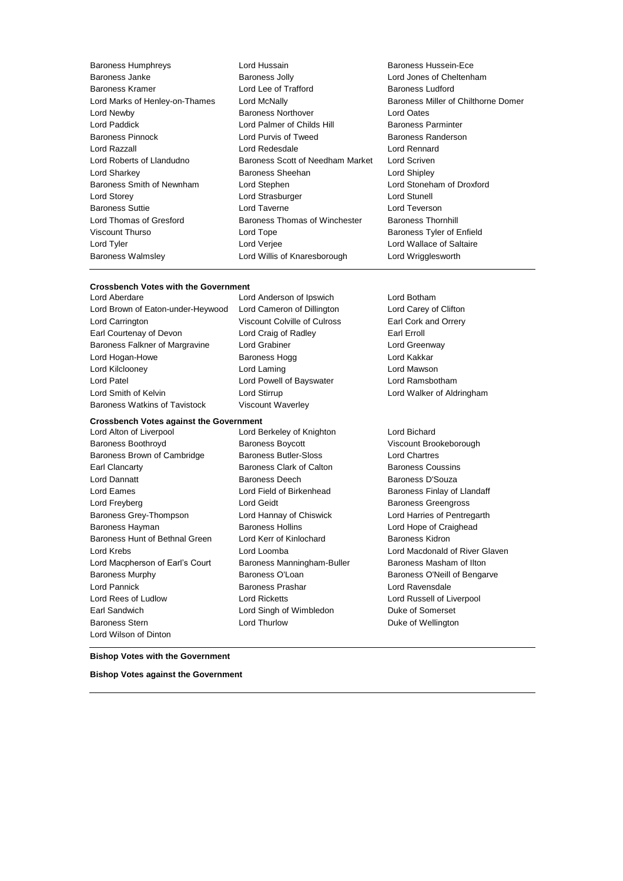Baroness Humphreys Lord Hussain Baroness Hussein-Ece Baroness Walmsley Lord Willis of Knaresborough Lord Wrigglesworth

Baroness Janke Baroness Jolly Lord Jones of Cheltenham Baroness Kramer Lord Lee of Trafford Baroness Ludford Lord Marks of Henley-on-Thames Lord McNally **Baroness Miller of Chilthorne Domer** Lord Newby Baroness Northover Lord Oates Lord Paddick **Lord Palmer of Childs Hill** Baroness Parminter<br>Baroness Pinnock **Lord Purvis of Tweed** Baroness Randerso Lord Purvis of Tweed Baroness Randerson Lord Razzall Lord Redesdale Lord Rennard Lord Roberts of Llandudno Baroness Scott of Needham Market Lord Scriven Lord Sharkey **Baroness Sheehan** Lord Shipley **Constants In Lord Shipley** Baroness Smith of Newnham Lord Stephen Lord Stoneham of Droxford Lord Storey **Lord Strasburger** Lord Strasburger **Lord Strasburger** Lord Stunell Baroness Suttie Lord Taverne Lord Teverson Lord Thomas of Gresford Baroness Thomas of Winchester Baroness Thornhill Viscount Thurso **Communist Constructs** Lord Tope **Baroness Tyler of Enfield** Lord Tyler Lord Verjee Lord Wallace of Saltaire

#### **Crossbench Votes with the Government**

Lord Brown of Eaton-under-Heywood Lord Cameron of Dillington Lord Carey of Clifton Lord Carrington Viscount Colville of Culross Earl Cork and Orrery Earl Courtenay of Devon Lord Craig of Radley Farl Erroll Baroness Falkner of Margravine Lord Grabiner Controller Lord Greenway Lord Hogan-Howe **Baroness Hogg Lord Kakkar** Lord Kilclooney Lord Laming Lord Mawson Lord Patel Lord Powell of Bayswater Lord Ramsbotham Lord Smith of Kelvin Lord Stirrup Lord Walker of Aldringham Baroness Watkins of Tavistock Viscount Waverley

# **Crossbench Votes against the Government**<br>Lord Alton of Liverpool Lord B

Baroness Boothroyd Baroness Boycott Viscount Brookeborough Baroness Brown of Cambridge Baroness Butler-Sloss Entertainment Cond Chartres Earl Clancarty **Baroness Clark of Calton** Baroness Coussins **Baroness Coussins** Lord Dannatt Baroness Deech Baroness D'Souza Lord Eames **Lord Field of Birkenhead** Baroness Finlay of Llandaff Lord Freyberg Lord Geidt Baroness Greengross Baroness Grey-Thompson Lord Hannay of Chiswick Lord Harries of Pentregarth Baroness Hayman **Baroness Hollins** Baroness Hollins **Lord Hope of Craighead** Baroness Hunt of Bethnal Green Lord Kerr of Kinlochard Baroness Kidron Lord Krebs Lord Loomba Lord Macdonald of River Glaven Lord Macpherson of Earl's Court Baroness Manningham-Buller Baroness Masham of Ilton Baroness Murphy Baroness O'Loan Baroness O'Neill of Bengarve Lord Pannick Baroness Prashar Lord Ravensdale Lord Rees of Ludlow Lord Ricketts Lord Russell of Liverpool Earl Sandwich Lord Singh of Wimbledon Duke of Somerset Baroness Stern **Communist Construction** Lord Thurlow **Communist Construction** Duke of Wellington Lord Wilson of Dinton

Lord Aberdare Lord Anderson of Ipswich Lord Botham

Lord Berkeley of Knighton Lord Bichard

**Bishop Votes with the Government**

**Bishop Votes against the Government**